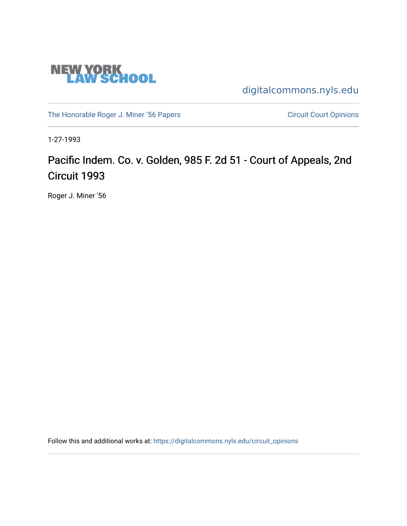

[digitalcommons.nyls.edu](https://digitalcommons.nyls.edu/) 

[The Honorable Roger J. Miner '56 Papers](https://digitalcommons.nyls.edu/miner_papers) Circuit Court Opinions

1-27-1993

# Pacific Indem. Co. v. Golden, 985 F. 2d 51 - Court of Appeals, 2nd Circuit 1993

Roger J. Miner '56

Follow this and additional works at: [https://digitalcommons.nyls.edu/circuit\\_opinions](https://digitalcommons.nyls.edu/circuit_opinions?utm_source=digitalcommons.nyls.edu%2Fcircuit_opinions%2F375&utm_medium=PDF&utm_campaign=PDFCoverPages)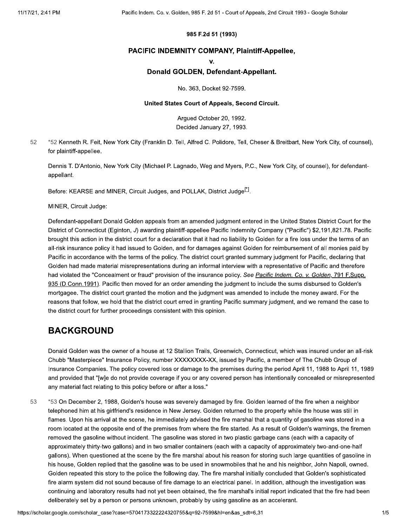### 985 F.2d 51 (1993)

### PACIFIC INDEMNITY COMPANY, Plaintiff-Appellee,

 $\mathbf{V}$ 

### Donald GOLDEN, Defendant-Appellant.

No. 363, Docket 92-7599.

### United States Court of Appeals, Second Circuit.

Arqued October 20, 1992. Decided January 27, 1993.

52 \*52 Kenneth R. Feit, New York City (Franklin D. Tell, Alfred C. Polidore, Tell, Cheser & Breitbart, New York City, of counsel), for plaintiff-appellee.

Dennis T. D'Antonio, New York City (Michael P. Lagnado, Weg and Myers, P.C., New York City, of counsel), for defendantappellant.

Before: KEARSE and MINER, Circuit Judges, and POLLAK, District Judge<sup>[1]</sup>.

MINER, Circuit Judge:

Defendant-appellant Donald Golden appeals from an amended judgment entered in the United States District Court for the District of Connecticut (Eginton, J) awarding plaintiff-appellee Pacific Indemnity Company ("Pacific") \$2,191,821.78. Pacific brought this action in the district court for a declaration that it had no liability to Golden for a fire loss under the terms of an all-risk insurance policy it had issued to Golden, and for damages against Golden for reimbursement of all monies paid by Pacific in accordance with the terms of the policy. The district court granted summary judgment for Pacific, declaring that Golden had made material misrepresentations during an informal interview with a representative of Pacific and therefore had violated the "Concealment or fraud" provision of the insurance policy. See Pacific Indem. Co. v. Golden, 791 F.Supp. 935 (D.Conn.1991). Pacific then moved for an order amending the judgment to include the sums disbursed to Golden's mortgagee. The district court granted the motion and the judgment was amended to include the money award. For the reasons that follow, we hold that the district court erred in granting Pacific summary judgment, and we remand the case to the district court for further proceedings consistent with this opinion.

### **BACKGROUND**

Donald Golden was the owner of a house at 12 Stallion Trails, Greenwich, Connecticut, which was insured under an all-risk Chubb "Masterpiece" Insurance Policy, number XXXXXXXX-XX, issued by Pacific, a member of The Chubb Group of Insurance Companies. The policy covered loss or damage to the premises during the period April 11, 1988 to April 11, 1989 and provided that "[w]e do not provide coverage if you or any covered person has intentionally concealed or misrepresented any material fact relating to this policy before or after a loss."

53 \*53 On December 2, 1988, Golden's house was severely damaged by fire. Golden learned of the fire when a neighbor telephoned him at his girlfriend's residence in New Jersey. Golden returned to the property while the house was still in flames. Upon his arrival at the scene, he immediately advised the fire marshal that a quantity of gasoline was stored in a room located at the opposite end of the premises from where the fire started. As a result of Golden's warnings, the firemen removed the gasoline without incident. The gasoline was stored in two plastic garbage cans (each with a capacity of approximately thirty-two gallons) and in two smaller containers (each with a capacity of approximately two-and-one-half gallons). When questioned at the scene by the fire marshal about his reason for storing such large quantities of gasoline in his house, Golden replied that the gasoline was to be used in snowmobiles that he and his neighbor, John Napoli, owned. Golden repeated this story to the police the following day. The fire marshal initially concluded that Golden's sophisticated fire alarm system did not sound because of fire damage to an electrical panel. In addition, although the investigation was continuing and laboratory results had not yet been obtained, the fire marshal's initial report indicated that the fire had been deliberately set by a person or persons unknown, probably by using gasoline as an accelerant.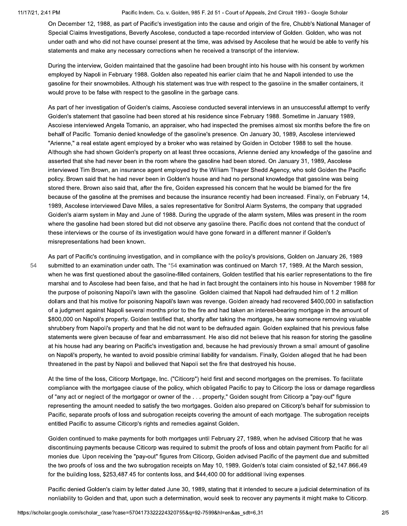54

Pacific Indem. Co. v. Golden, 985 F. 2d 51 - Court of Appeals, 2nd Circuit 1993 - Google Scholar

On December 12, 1988, as part of Pacific's investigation into the cause and origin of the fire, Chubb's National Manager of Special Claims Investigations, Beverly Ascolese, conducted a tape-recorded interview of Golden. Golden, who was not under oath and who did not have counsel present at the time, was advised by Ascolese that he would be able to verify his statements and make any necessary corrections when he received a transcript of the interview.

During the interview, Golden maintained that the gasoline had been brought into his house with his consent by workmen employed by Napoli in February 1988. Golden also repeated his earlier claim that he and Napoli intended to use the gasoline for their snowmobiles. Although his statement was true with respect to the gasoline in the smaller containers, it would prove to be false with respect to the gasoline in the garbage cans.

As part of her investigation of Golden's claims, Ascolese conducted several interviews in an unsuccessful attempt to verify Golden's statement that gasoline had been stored at his residence since February 1988. Sometime in January 1989, Ascolese interviewed Angela Tomanio, an appraiser, who had inspected the premises almost six months before the fire on behalf of Pacific. Tomanio denied knowledge of the gasoline's presence. On January 30, 1989, Ascolese interviewed "Arienne," a real estate agent employed by a broker who was retained by Golden in October 1988 to sell the house. Although she had shown Golden's property on at least three occasions, Arienne denied any knowledge of the gasoline and asserted that she had never been in the room where the gasoline had been stored. On January 31, 1989, Ascolese interviewed Tim Brown, an insurance agent employed by the William Thayer Shedd Agency, who sold Golden the Pacific policy. Brown said that he had never been in Golden's house and had no personal knowledge that gasoline was being stored there. Brown also said that, after the fire, Golden expressed his concern that he would be blamed for the fire because of the gasoline at the premises and because the insurance recently had been increased. Finally, on February 14, 1989, Ascolese interviewed Dave Miles, a sales representative for Sonitrol Alarm Systems, the company that upgraded Golden's alarm system in May and June of 1988. During the upgrade of the alarm system, Miles was present in the room where the gasoline had been stored but did not observe any gasoline there. Pacific does not contend that the conduct of these interviews or the course of its investigation would have gone forward in a different manner if Golden's misrepresentations had been known.

As part of Pacific's continuing investigation, and in compliance with the policy's provisions, Golden on January 26, 1989 submitted to an examination under oath. The \*54 examination was continued on March 17, 1989. At the March session, when he was first questioned about the gasoline-filled containers, Golden testified that his earlier representations to the fire marshal and to Ascolese had been false, and that he had in fact brought the containers into his house in November 1988 for the purpose of poisoning Napoli's lawn with the gasoline. Golden claimed that Napoli had defrauded him of 1.2 million dollars and that his motive for poisoning Napoli's lawn was revenge. Golden already had recovered \$400,000 in satisfaction of a judgment against Napoli several months prior to the fire and had taken an interest-bearing mortgage in the amount of \$800,000 on Napoli's property. Golden testified that, shortly after taking the mortgage, he saw someone removing valuable shrubbery from Napoli's property and that he did not want to be defrauded again. Golden explained that his previous false statements were given because of fear and embarrassment. He also did not believe that his reason for storing the gasoline at his house had any bearing on Pacific's investigation and, because he had previously thrown a small amount of gasoline on Napoli's property, he wanted to avoid possible criminal liability for vandalism. Finally, Golden alleged that he had been threatened in the past by Napoli and believed that Napoli set the fire that destroyed his house.

At the time of the loss, Citicorp Mortgage, Inc. ("Citicorp") held first and second mortgages on the premises. To facilitate compliance with the mortgagee clause of the policy, which obligated Pacific to pay to Citicorp the loss or damage regardless of "any act or neglect of the mortgagor or owner of the . . . property," Golden sought from Citicorp a "pay-out" figure representing the amount needed to satisfy the two mortgages. Golden also prepared on Citicorp's behalf for submission to Pacific, separate proofs of loss and subrogation receipts covering the amount of each mortgage. The subrogation receipts entitled Pacific to assume Citicorp's rights and remedies against Golden.

Golden continued to make payments for both mortgages until February 27, 1989, when he advised Citicorp that he was discontinuing payments because Citicorp was required to submit the proofs of loss and obtain payment from Pacific for all monies due. Upon receiving the "pay-out" figures from Citicorp, Golden advised Pacific of the payment due and submitted the two proofs of loss and the two subrogation receipts on May 10, 1989. Golden's total claim consisted of \$2,147,866.49 for the building loss, \$253,487.45 for contents loss, and \$44,400.00 for additional living expenses.

Pacific denied Golden's claim by letter dated June 30, 1989, stating that it intended to secure a judicial determination of its nonliability to Golden and that, upon such a determination, would seek to recover any payments it might make to Citicorp.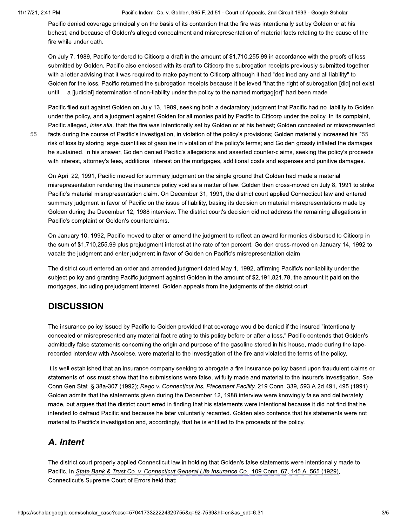#### 11/17/21, 2:41 PM

55

Pacific Indem. Co. v. Golden, 985 F. 2d 51 - Court of Appeals, 2nd Circuit 1993 - Google Scholar

Pacific denied coverage principally on the basis of its contention that the fire was intentionally set by Golden or at his behest, and because of Golden's alleged concealment and misrepresentation of material facts relating to the cause of the fire while under oath.

On July 7, 1989. Pacific tendered to Citicorp a draft in the amount of \$1,710,255.99 in accordance with the proofs of loss submitted by Golden. Pacific also enclosed with its draft to Citicorp the subrogation receipts previously submitted together with a letter advising that it was required to make payment to Citicorp although it had "declined any and all liability" to Golden for the loss. Pacific returned the subrogation receipts because it believed "that the right of subrogation [did] not exist until ... a [judicial] determination of non-liability under the policy to the named mortgag[or]" had been made.

Pacific filed suit against Golden on July 13, 1989, seeking both a declaratory judgment that Pacific had no liability to Golden under the policy, and a judgment against Golden for all monies paid by Pacific to Citicorp under the policy. In its complaint, Pacific alleged, inter alia, that: the fire was intentionally set by Golden or at his behest; Golden concealed or misrepresented facts during the course of Pacific's investigation, in violation of the policy's provisions; Golden materially increased his \*55 risk of loss by storing large quantities of gasoline in violation of the policy's terms; and Golden grossly inflated the damages he sustained. In his answer, Golden denied Pacific's allegations and asserted counter-claims, seeking the policy's proceeds with interest, attorney's fees, additional interest on the mortgages, additional costs and expenses and punitive damages.

On April 22, 1991, Pacific moved for summary judgment on the single ground that Golden had made a material misrepresentation rendering the insurance policy void as a matter of law. Golden then cross-moved on July 8, 1991 to strike Pacific's material misrepresentation claim. On December 31, 1991, the district court applied Connecticut law and entered summary judgment in favor of Pacific on the issue of liability, basing its decision on material misrepresentations made by Golden during the December 12, 1988 interview. The district court's decision did not address the remaining allegations in Pacific's complaint or Golden's counterclaims.

On January 10, 1992, Pacific moved to alter or amend the judgment to reflect an award for monies disbursed to Citicorp in the sum of \$1,710,255.99 plus prejudgment interest at the rate of ten percent. Golden cross-moved on January 14, 1992 to vacate the judgment and enter judgment in favor of Golden on Pacific's misrepresentation claim.

The district court entered an order and amended judgment dated May 1, 1992, affirming Pacific's nonliability under the subject policy and granting Pacific judgment against Golden in the amount of \$2,191,821.78, the amount it paid on the mortgages, including prejudgment interest. Golden appeals from the judgments of the district court.

## **DISCUSSION**

The insurance policy issued by Pacific to Golden provided that coverage would be denied if the insured "intentionally concealed or misrepresented any material fact relating to this policy before or after a loss." Pacific contends that Golden's admittedly false statements concerning the origin and purpose of the gasoline stored in his house, made during the taperecorded interview with Ascolese, were material to the investigation of the fire and violated the terms of the policy.

It is well established that an insurance company seeking to abrogate a fire insurance policy based upon fraudulent claims or statements of loss must show that the submissions were false, wilfully made and material to the insurer's investigation. See Conn. Gen. Stat. § 38a-307 (1992); Rego v. Connecticut Ins. Placement Facility, 219 Conn. 339, 593 A.2d 491, 495 (1991). Golden admits that the statements given during the December 12, 1988 interview were knowingly false and deliberately made, but argues that the district court erred in finding that his statements were intentional because it did not find that he intended to defraud Pacific and because he later voluntarily recanted. Golden also contends that his statements were not material to Pacific's investigation and, accordingly, that he is entitled to the proceeds of the policy.

## A. Intent

The district court properly applied Connecticut law in holding that Golden's false statements were intentionally made to Pacific. In State Bank & Trust Co. v. Connecticut General Life Insurance Co., 109 Conn. 67, 145 A. 565 (1929), Connecticut's Supreme Court of Errors held that: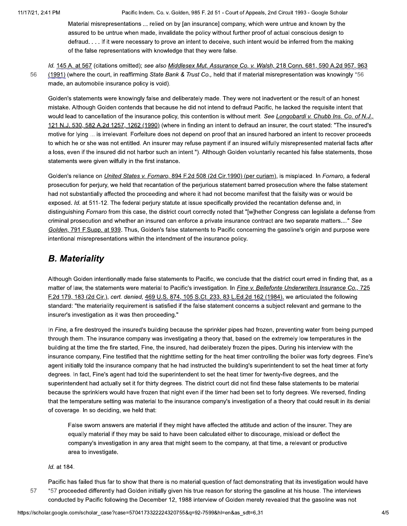Pacific Indem. Co. v. Golden, 985 F. 2d 51 - Court of Appeals, 2nd Circuit 1993 - Google Scholar

Material misrepresentations ... relied on by [an insurance] company, which were untrue and known by the assured to be untrue when made, invalidate the policy without further proof of actual conscious design to defraud. . . . If it were necessary to prove an intent to deceive, such intent would be inferred from the making of the false representations with knowledge that they were false.

Id. 145 A. at 567 (citations omitted); see also Middlesex Mut. Assurance Co. v. Walsh, 218 Conn. 681, 590 A.2d 957, 963 56 (1991) (where the court, in reaffirming State Bank & Trust Co., held that if material misrepresentation was knowingly \*56 made, an automobile insurance policy is void).

Golden's statements were knowingly false and deliberately made. They were not inadvertent or the result of an honest mistake. Although Golden contends that because he did not intend to defraud Pacific, he lacked the requisite intent that would lead to cancellation of the insurance policy, this contention is without merit. See Longobardi v. Chubb Ins. Co. of N.J., 121 N.J. 530, 582 A.2d 1257, 1262 (1990) (where in finding an intent to defraud an insurer, the court stated: "The insured's motive for lying ... is irrelevant. Forfeiture does not depend on proof that an insured harbored an intent to recover proceeds to which he or she was not entitled. An insurer may refuse payment if an insured wilfully misrepresented material facts after a loss, even if the insured did not harbor such an intent."). Although Golden voluntarily recanted his false statements, those statements were given wilfully in the first instance.

Golden's reliance on United States v. Fornaro, 894 F.2d 508 (2d Cir.1990) (per curiam), is misplaced. In Fornaro, a federal prosecution for perjury, we held that recantation of the perjurious statement barred prosecution where the false statement had not substantially affected the proceeding and where it had not become manifest that the falsity was or would be exposed. Id. at 511-12. The federal perjury statute at issue specifically provided the recantation defense and, in distinguishing Fornaro from this case, the district court correctly noted that "[w]hether Congress can legislate a defense from criminal prosecution and whether an insured can enforce a private insurance contract are two separate matters...." See Golden, 791 F.Supp. at 939. Thus, Golden's false statements to Pacific concerning the gasoline's origin and purpose were intentional misrepresentations within the intendment of the insurance policy.

## **B.** Materiality

Although Golden intentionally made false statements to Pacific, we conclude that the district court erred in finding that, as a matter of law, the statements were material to Pacific's investigation. In Fine v. Bellefonte Underwriters Insurance Co., 725 F.2d 179, 183 (2d Cir.), cert. denied, 469 U.S. 874, 105 S.Ct. 233, 83 L.Ed.2d 162 (1984), we articulated the following standard: "the materiality requirement is satisfied if the false statement concerns a subject relevant and germane to the insurer's investigation as it was then proceeding."

In Fine, a fire destroyed the insured's building because the sprinkler pipes had frozen, preventing water from being pumped through them. The insurance company was investigating a theory that, based on the extremely low temperatures in the building at the time the fire started, Fine, the insured, had deliberately frozen the pipes. During his interview with the insurance company, Fine testified that the nighttime setting for the heat timer controlling the boiler was forty degrees. Fine's agent initially told the insurance company that he had instructed the building's superintendent to set the heat timer at forty degrees. In fact, Fine's agent had told the superintendent to set the heat timer for twenty-five degrees, and the superintendent had actually set it for thirty degrees. The district court did not find these false statements to be material because the sprinklers would have frozen that night even if the timer had been set to forty degrees. We reversed, finding that the temperature setting was material to the insurance company's investigation of a theory that could result in its denial of coverage. In so deciding, we held that:

False sworn answers are material if they might have affected the attitude and action of the insurer. They are equally material if they may be said to have been calculated either to discourage, mislead or deflect the company's investigation in any area that might seem to the company, at that time, a relevant or productive area to investigate.

Id. at 184.

57

Pacific has failed thus far to show that there is no material question of fact demonstrating that its investigation would have \*57 proceeded differently had Golden initially given his true reason for storing the gasoline at his house. The interviews conducted by Pacific following the December 12, 1988 interview of Golden merely revealed that the gasoline was not